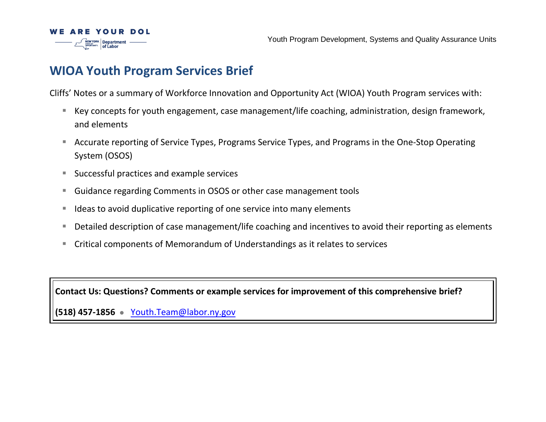

# **WIOA Youth Program Services Brief**

Cliffs' Notes or a summary of Workforce Innovation and Opportunity Act (WIOA) Youth Program services with:

- Key concepts for youth engagement, case management/life coaching, administration, design framework, and elements
- Accurate reporting of Service Types, Programs Service Types, and Programs in the One-Stop Operating System (OSOS)
- Successful practices and example services
- Guidance regarding Comments in OSOS or other case management tools
- Ideas to avoid duplicative reporting of one service into many elements
- Detailed description of case management/life coaching and incentives to avoid their reporting as elements
- Critical components of Memorandum of Understandings as it relates to services

**Contact Us: Questions? Comments or example services for improvement of this comprehensive brief?**

**(518) 457-1856** ⚫[Youth.Team@labor.ny.gov](mailto:Youth.Team@labor.ny.gov)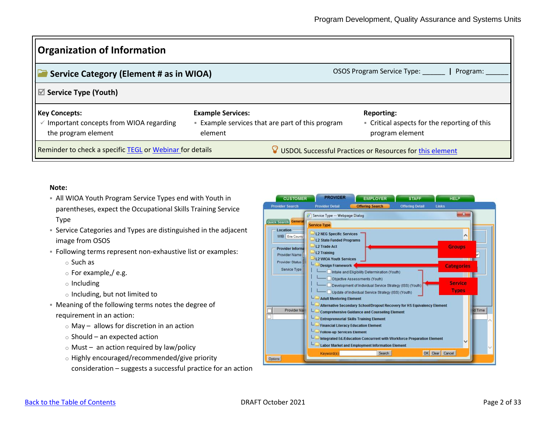| <b>Organization of Information</b>                                                                 |                                                                                              |                                                                                      |
|----------------------------------------------------------------------------------------------------|----------------------------------------------------------------------------------------------|--------------------------------------------------------------------------------------|
| Service Category (Element # as in WIOA)                                                            |                                                                                              | OSOS Program Service Type: _______   Program:                                        |
| $\mathbb Z$ Service Type (Youth)                                                                   |                                                                                              |                                                                                      |
| <b>Key Concepts:</b><br>$\checkmark$ Important concepts from WIOA regarding<br>the program element | <b>Example Services:</b><br><b>Example services that are part of this program</b><br>element | <b>Reporting:</b><br>• Critical aspects for the reporting of this<br>program element |
| Reminder to check a specific TEGL or Webinar for details                                           |                                                                                              | $\sqrt{2}$ USDOL Successful Practices or Resources for this element                  |

### **Note:**

- **EXEL YIOA Youth Program Service Types end with Youth in** parentheses, expect the Occupational Skills Training Service Type
- **EXECT** Service Categories and Types are distinguished in the adjacent image from OSOS
- Following terms represent non-exhaustive list or examples:
	- o Such as
	- o For example,/ e.g.
	- o Including
	- o Including, but not limited to
- Meaning of the following terms notes the degree of requirement in an action:
	- $\circ$  May allows for discretion in an action
	- o Should an expected action
	- $\circ$  Must an action required by law/policy
	- o Highly encouraged/recommended/give priority
	- consideration suggests a successful practice for an action

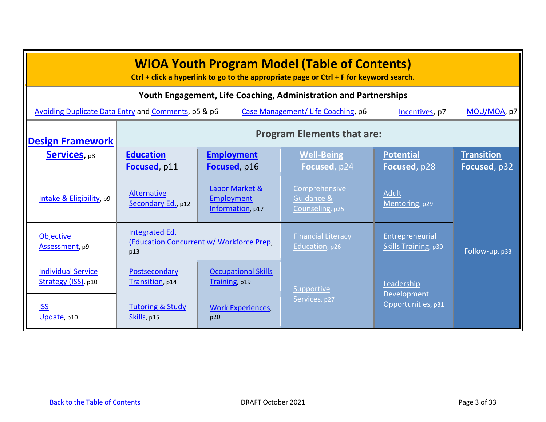<span id="page-2-0"></span>

| <b>WIOA Youth Program Model (Table of Contents)</b><br>Ctrl + click a hyperlink to go to the appropriate page or $Ctrl + F$ for keyword search. |                                                                   |                                                  |                                                                  |                                         |                                   |
|-------------------------------------------------------------------------------------------------------------------------------------------------|-------------------------------------------------------------------|--------------------------------------------------|------------------------------------------------------------------|-----------------------------------------|-----------------------------------|
|                                                                                                                                                 |                                                                   |                                                  | Youth Engagement, Life Coaching, Administration and Partnerships |                                         |                                   |
| Avoiding Duplicate Data Entry and Comments, p5 & p6                                                                                             |                                                                   |                                                  | Case Management/ Life Coaching, p6                               | Incentives, p7                          | MOU/MOA, p7                       |
| <b>Design Framework</b>                                                                                                                         | <b>Program Elements that are:</b>                                 |                                                  |                                                                  |                                         |                                   |
| <b>Services</b> , p8                                                                                                                            | <b>Education</b><br>Focused, p11                                  | <b>Employment</b><br>Focused, p16                | <b>Well-Being</b><br>Focused, p24                                | <b>Potential</b><br>Focused, p28        | <b>Transition</b><br>Focused, p32 |
| Intake & Eligibility, p9                                                                                                                        | Alternative<br>Secondary Ed., p12                                 | Labor Market &<br>Employment<br>Information, p17 | Comprehensive<br>Guidance &<br>Counseling, p25                   | Adult<br>Mentoring, p29                 |                                   |
| <b>Objective</b><br>Assessment, p9                                                                                                              | Integrated Ed.<br>(Education Concurrent w/ Workforce Prep,<br>p13 |                                                  | <b>Financial Literacy</b><br>Education, p26                      | Entrepreneurial<br>Skills Training, p30 | Follow-up, p33                    |
| <b>Individual Service</b><br>Strategy (ISS), p10                                                                                                | Postsecondary<br>Transition, p14                                  | <b>Occupational Skills</b><br>Training, p19      | Supportive                                                       | Leadership<br>Development               |                                   |
| <b>ISS</b><br>Update, p10                                                                                                                       | <b>Tutoring &amp; Study</b><br>Skills, p15                        | <b>Work Experiences,</b><br>p20                  | Services, p27                                                    | Opportunities, p31                      |                                   |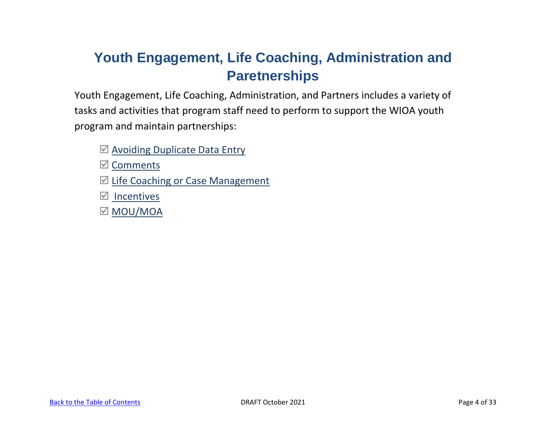# **Youth Engagement, Life Coaching, Administration and Paretnerships**

Youth Engagement, Life Coaching, Administration, and Partners includes a variety of tasks and activities that program staff need to perform to support the WIOA youth program and maintain partnerships:

 $\boxtimes$  [Avoiding Duplicate Data Entry](#page-4-0)

 $\mathbb{Z}$  [Comments](#page-5-0)

- $\boxtimes$  [Life Coaching or Case Management](#page-5-1)
- $\boxtimes$  [Incentives](#page-6-0)
- **⊠ [MOU/MOA](#page-6-1)**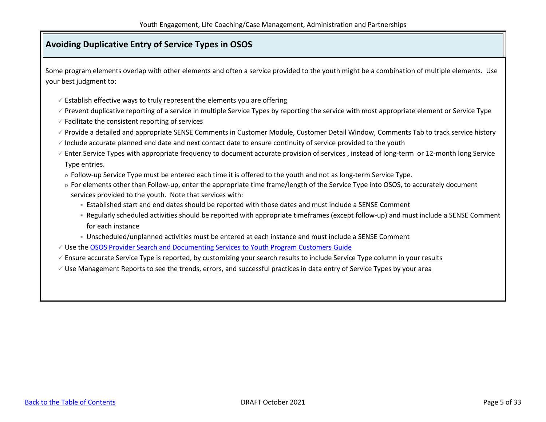### <span id="page-4-0"></span>**Avoiding Duplicative Entry of Service Types in OSOS**

Some program elements overlap with other elements and often a service provided to the youth might be a combination of multiple elements. Use your best judgment to:

- $\checkmark$  Establish effective ways to truly represent the elements you are offering
- $\checkmark$  Prevent duplicative reporting of a service in multiple Service Types by reporting the service with most appropriate element or Service Type
- $\checkmark$  Facilitate the consistent reporting of services
- ✓ Provide a detailed and appropriate SENSE Comments in Customer Module, Customer Detail Window, Comments Tab to track service history
- $\checkmark$  Include accurate planned end date and next contact date to ensure continuity of service provided to the youth
- $\checkmark$  Enter Service Types with appropriate frequency to document accurate provision of services, instead of long-term or 12-month long Service Type entries.
	- o Follow-up Service Type must be entered each time it is offered to the youth and not as long-term Service Type.
	- o For elements other than Follow-up, enter the appropriate time frame/length of the Service Type into OSOS, to accurately document services provided to the youth. Note that services with:
		- **E** Established start and end dates should be reported with those dates and must include a SENSE Comment
		- Regularly scheduled activities should be reported with appropriate timeframes (except follow-up) and must include a SENSE Comment for each instance
		- Unscheduled/unplanned activities must be entered at each instance and must include a SENSE Comment
- ✓ Use th[e OSOS Provider Search and Documenting Services to Youth Program Customers](https://labor.ny.gov/workforcenypartners/osos/Provider-Search-and-Documenting-Services-to-Youth-Program-Customers.pdf) Guide
- $\checkmark$  Ensure accurate Service Type is reported, by customizing your search results to include Service Type column in your results
- $\checkmark$  Use Management Reports to see the trends, errors, and successful practices in data entry of Service Types by your area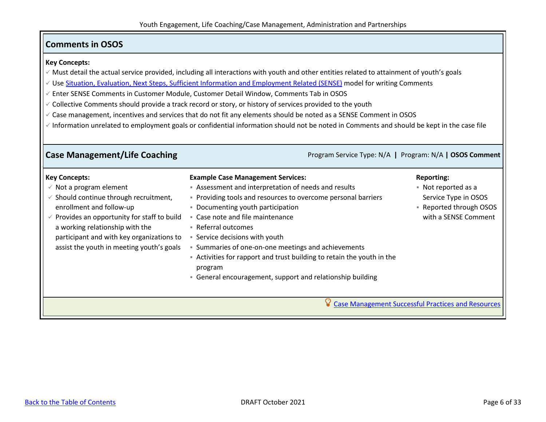### <span id="page-5-0"></span>**Comments in OSOS**

### **Key Concepts:**

- ✓ Must detail the actual service provided, including all interactions with youth and other entities related to attainment of youth's goals
- ✓ Use [Situation, Evaluation, Next Steps, Sufficient Information and Employment Related \(SENSE\)](https://labor.ny.gov/workforcenypartners/osos/video/osos-case-notes.shtm) model for writing Comments
- ✓ Enter SENSE Comments in Customer Module, Customer Detail Window, Comments Tab in OSOS
- ✓ Collective Comments should provide a track record or story, or history of services provided to the youth
- ✓ Case management, incentives and services that do not fit any elements should be noted as a SENSE Comment in OSOS
- $\checkmark$  Information unrelated to employment goals or confidential information should not be noted in Comments and should be kept in the case file

#### <span id="page-5-1"></span>**Case Management/Life Coaching Program Service Type: N/A | Program: N/A | OSOS Comment Key Concepts:**  $\checkmark$  Not a program element  $\checkmark$  Should continue through recruitment, enrollment and follow-up  $\checkmark$  Provides an opportunity for staff to build a working relationship with the participant and with key organizations to assist the youth in meeting youth's goals **Example Case Management Services:**  ■ Assessment and interpretation of needs and results **• Providing tools and resources to overcome personal barriers** ▪ Documenting youth participation ■ Case note and file maintenance ■ Referral outcomes ▪ Service decisions with youth ▪ Summaries of one-on-one meetings and achievements ▪ Activities for rapport and trust building to retain the youth in the program ■ General encouragement, support and relationship building **Reporting:**  ▪ Not reported as a Service Type in OSOS ■ Reported through OSOS with a SENSE Comment [Case Management Successful Practices and Resources](https://youth.workforcegps.org/resources/2017/04/05/10/52/CaseManagementToolkit)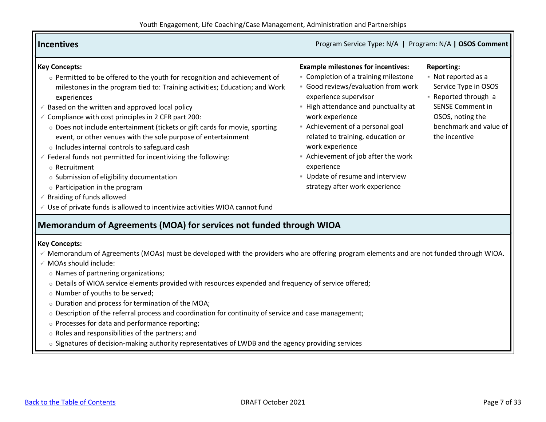<span id="page-6-1"></span><span id="page-6-0"></span>

| <b>Incentives</b>                                                                                                                                                                                                                                                                                                                                                                                                                                                                                                                                                                                                                                                                                                                                                                                              | Program Service Type: N/A   Program: N/A   OSOS Comment                                                                                                                                                                                                                                                                                                                                                                       |                                                                                                                                                                                  |
|----------------------------------------------------------------------------------------------------------------------------------------------------------------------------------------------------------------------------------------------------------------------------------------------------------------------------------------------------------------------------------------------------------------------------------------------------------------------------------------------------------------------------------------------------------------------------------------------------------------------------------------------------------------------------------------------------------------------------------------------------------------------------------------------------------------|-------------------------------------------------------------------------------------------------------------------------------------------------------------------------------------------------------------------------------------------------------------------------------------------------------------------------------------------------------------------------------------------------------------------------------|----------------------------------------------------------------------------------------------------------------------------------------------------------------------------------|
| <b>Key Concepts:</b><br>o Permitted to be offered to the youth for recognition and achievement of<br>milestones in the program tied to: Training activities; Education; and Work<br>experiences<br>Based on the written and approved local policy<br>$\checkmark$ Compliance with cost principles in 2 CFR part 200:<br>o Does not include entertainment (tickets or gift cards for movie, sporting<br>event, or other venues with the sole purpose of entertainment<br>o Includes internal controls to safeguard cash<br>$\checkmark$ Federal funds not permitted for incentivizing the following:<br>o Recruitment<br>o Submission of eligibility documentation<br>o Participation in the program<br>Braiding of funds allowed<br>Use of private funds is allowed to incentivize activities WIOA cannot fund | <b>Example milestones for incentives:</b><br>• Completion of a training milestone<br>· Good reviews/evaluation from work<br>experience supervisor<br>- High attendance and punctuality at<br>work experience<br>Achievement of a personal goal<br>related to training, education or<br>work experience<br>Achievement of job after the work<br>experience<br>Update of resume and interview<br>strategy after work experience | <b>Reporting:</b><br>• Not reported as a<br>Service Type in OSOS<br>Reported through a<br><b>SENSE Comment in</b><br>OSOS, noting the<br>benchmark and value of<br>the incentive |
| Memorandum of Agreements (MOA) for services not funded through WIOA<br><b>Key Concepts:</b><br>√ Memorandum of Agreements (MOAs) must be developed with the providers who are offering program elements and are not funded through WIOA.<br>√ MOAs should include:<br>o Names of partnering organizations;<br>o Details of WIOA service elements provided with resources expended and frequency of service offered;<br>o Number of youths to be served;<br>o Duration and process for termination of the MOA;<br>o Description of the referral process and coordination for continuity of service and case management;<br>o Processes for data and performance reporting;<br>o Roles and responsibilities of the partners; and                                                                                 |                                                                                                                                                                                                                                                                                                                                                                                                                               |                                                                                                                                                                                  |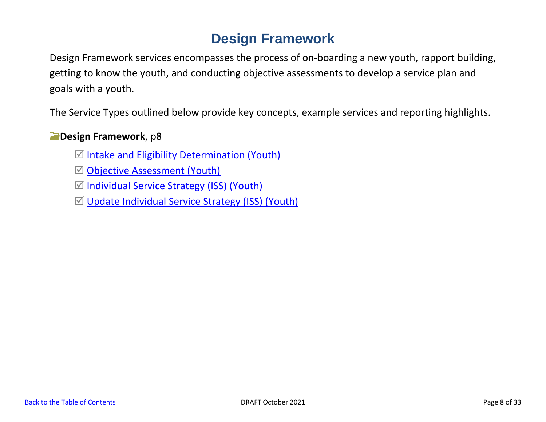# **Design Framework**

<span id="page-7-0"></span>Design Framework services encompasses the process of on-boarding a new youth, rapport building, getting to know the youth, and conducting objective assessments to develop a service plan and goals with a youth.

The Service Types outlined below provide key concepts, example services and reporting highlights.

## **Design Framework**, p8

- $\boxtimes$  [Intake and Eligibility Determination \(Youth\)](#page-8-0)
- **Ø [Objective Assessment \(Youth\)](#page-8-1)**
- $\boxtimes$  [Individual Service Strategy \(ISS\) \(Youth\)](#page-9-0)
- $\boxtimes$  [Update Individual Service Strategy \(ISS\) \(Youth\)](#page-9-1)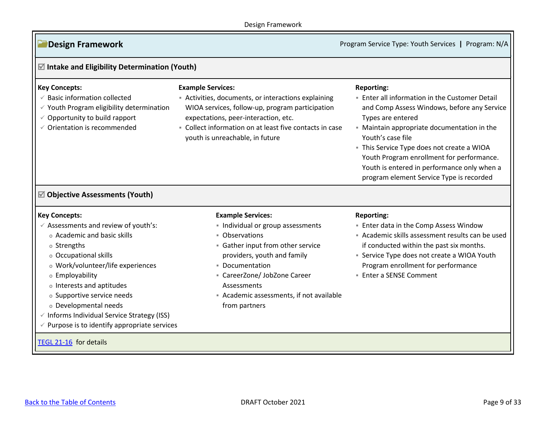### Design Framework

**Design Framework Program** Service Type: Youth Services **|** Program: N/A

<span id="page-8-1"></span><span id="page-8-0"></span>

| <b>Key Concepts:</b><br>$\checkmark$ Basic information collected<br>$\checkmark$ Youth Program eligibility determination<br>Opportunity to build rapport<br>$\checkmark$ Orientation is recommended                                                                                                                                               | <b>Example Services:</b><br>Activities, documents, or interactions explaining<br>WIOA services, follow-up, program participation<br>expectations, peer-interaction, etc.<br>• Collect information on at least five contacts in case<br>youth is unreachable, in future | <b>Reporting:</b><br><b>Enter all information in the Customer Detail</b><br>and Comp Assess Windows, before any Service<br>Types are entered<br>• Maintain appropriate documentation in the<br>Youth's case file<br>This Service Type does not create a WIOA<br>Youth Program enrollment for performance.<br>Youth is entered in performance only when a<br>program element Service Type is recorded |  |
|---------------------------------------------------------------------------------------------------------------------------------------------------------------------------------------------------------------------------------------------------------------------------------------------------------------------------------------------------|------------------------------------------------------------------------------------------------------------------------------------------------------------------------------------------------------------------------------------------------------------------------|------------------------------------------------------------------------------------------------------------------------------------------------------------------------------------------------------------------------------------------------------------------------------------------------------------------------------------------------------------------------------------------------------|--|
| <b>☑ Objective Assessments (Youth)</b><br><b>Key Concepts:</b>                                                                                                                                                                                                                                                                                    | <b>Example Services:</b>                                                                                                                                                                                                                                               | <b>Reporting:</b>                                                                                                                                                                                                                                                                                                                                                                                    |  |
| Assessments and review of youth's:<br>o Academic and basic skills<br>o Strengths<br>o Occupational skills<br>o Work/volunteer/life experiences<br>o Employability<br>o Interests and aptitudes<br>o Supportive service needs<br>o Developmental needs<br>Informs Individual Service Strategy (ISS)<br>Purpose is to identify appropriate services | · Individual or group assessments<br>■ Observations<br>• Gather input from other service<br>providers, youth and family<br><b>• Documentation</b><br>- CareerZone/ JobZone Career<br>Assessments<br>Academic assessments, if not available<br>from partners            | <b>Enter data in the Comp Assess Window</b><br>- Academic skills assessment results can be used<br>if conducted within the past six months.<br>• Service Type does not create a WIOA Youth<br>Program enrollment for performance<br><b>Enter a SENSE Comment</b>                                                                                                                                     |  |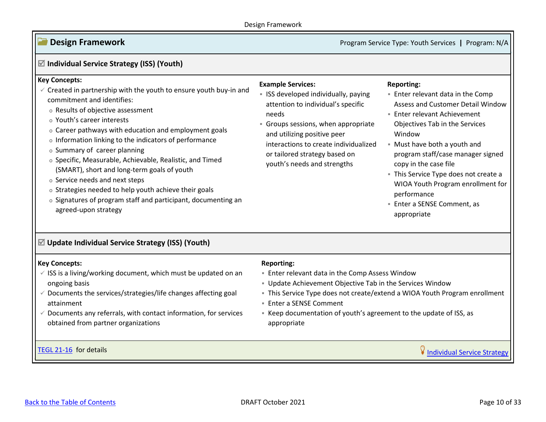Ξ

**Design Framework Program Service Type: Youth Services <b>|** Program: N/A

<span id="page-9-1"></span><span id="page-9-0"></span>

| $\mathbb Z$ Individual Service Strategy (ISS) (Youth)                                                                                                                                                                                                                                                                                                                                                                                                                                                                                                                                                                                                    |                                                                                                                                                                                                                                                                                              |                                                                                                                                                                                                                                                                                                                                                                                                                                 |
|----------------------------------------------------------------------------------------------------------------------------------------------------------------------------------------------------------------------------------------------------------------------------------------------------------------------------------------------------------------------------------------------------------------------------------------------------------------------------------------------------------------------------------------------------------------------------------------------------------------------------------------------------------|----------------------------------------------------------------------------------------------------------------------------------------------------------------------------------------------------------------------------------------------------------------------------------------------|---------------------------------------------------------------------------------------------------------------------------------------------------------------------------------------------------------------------------------------------------------------------------------------------------------------------------------------------------------------------------------------------------------------------------------|
| <b>Key Concepts:</b><br>$\checkmark$ Created in partnership with the youth to ensure youth buy-in and<br>commitment and identifies:<br>o Results of objective assessment<br>o Youth's career interests<br>o Career pathways with education and employment goals<br>o Information linking to the indicators of performance<br>o Summary of career planning<br>o Specific, Measurable, Achievable, Realistic, and Timed<br>(SMART), short and long-term goals of youth<br>o Service needs and next steps<br>o Strategies needed to help youth achieve their goals<br>o Signatures of program staff and participant, documenting an<br>agreed-upon strategy | <b>Example Services:</b><br>• ISS developed individually, paying<br>attention to individual's specific<br>needs<br>Groups sessions, when appropriate<br>and utilizing positive peer<br>interactions to create individualized<br>or tailored strategy based on<br>youth's needs and strengths | <b>Reporting:</b><br><b>Enter relevant data in the Comp</b><br>Assess and Customer Detail Window<br><b>Enter relevant Achievement</b><br>Objectives Tab in the Services<br>Window<br>• Must have both a youth and<br>program staff/case manager signed<br>copy in the case file<br>- This Service Type does not create a<br>WIOA Youth Program enrollment for<br>performance<br><b>Enter a SENSE Comment, as</b><br>appropriate |
| ☑ Update Individual Service Strategy (ISS) (Youth)                                                                                                                                                                                                                                                                                                                                                                                                                                                                                                                                                                                                       |                                                                                                                                                                                                                                                                                              |                                                                                                                                                                                                                                                                                                                                                                                                                                 |
| <b>Key Concepts:</b><br>$\checkmark$ ISS is a living/working document, which must be updated on an<br>ongoing basis<br>$\checkmark$ Documents the services/strategies/life changes affecting goal<br>attainment<br>$\checkmark$ Documents any referrals, with contact information, for services<br>obtained from partner organizations                                                                                                                                                                                                                                                                                                                   | <b>Reporting:</b><br><b>Enter relevant data in the Comp Assess Window</b><br>• Update Achievement Objective Tab in the Services Window<br>■ Enter a SENSE Comment<br>- Keep documentation of youth's agreement to the update of ISS, as<br>appropriate                                       | - This Service Type does not create/extend a WIOA Youth Program enrollment                                                                                                                                                                                                                                                                                                                                                      |
| TEGL 21-16 for details                                                                                                                                                                                                                                                                                                                                                                                                                                                                                                                                                                                                                                   |                                                                                                                                                                                                                                                                                              | V Individual Service Strategy                                                                                                                                                                                                                                                                                                                                                                                                   |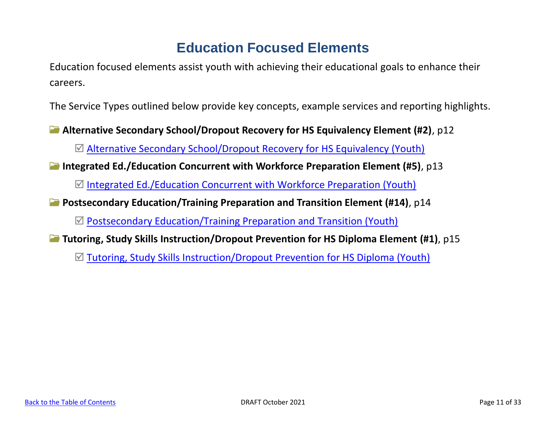# **Education Focused Elements**

<span id="page-10-0"></span>Education focused elements assist youth with achieving their educational goals to enhance their careers.

The Service Types outlined below provide key concepts, example services and reporting highlights.

**Alternative Secondary School/Dropout Recovery for HS Equivalency Element (#2)**, p12

[Alternative Secondary School/Dropout Recovery for HS Equivalency \(Youth\)](#page-11-0)

**Integrated Ed./Education Concurrent with Workforce Preparation Element (#5)**, p13

 $\boxtimes$  [Integrated Ed./Education Concurrent with Workforce Preparation \(Youth\)](#page-12-0)

**Postsecondary Education/Training Preparation and Transition Element (#14)**, p14

 $\mathbb Z$  [Postsecondary Education/Training Preparation and Transition \(Youth\)](#page-13-0)

**Tutoring, Study Skills Instruction/Dropout Prevention for HS Diploma Element (#1)**, p15

[Tutoring, Study Skills Instruction/Dropout Prevention for HS Diploma \(Youth\)](#page-14-0)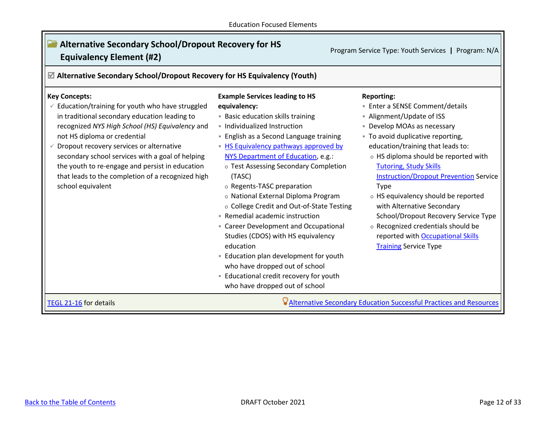Ξ

<span id="page-11-0"></span>

| $\mathbb Z$ Alternative Secondary School/Dropout Recovery for HS Equivalency (Youth)                                                                                                                                                                                                                                                                                                                                                     |                                                                                                                                                                                                                                                                                                                                                                                                                                                                                                                                                                                                                                                                                                                             |                                                                                                                                                                                                                                                                                                                                                                                                                                                                                                                                                           |
|------------------------------------------------------------------------------------------------------------------------------------------------------------------------------------------------------------------------------------------------------------------------------------------------------------------------------------------------------------------------------------------------------------------------------------------|-----------------------------------------------------------------------------------------------------------------------------------------------------------------------------------------------------------------------------------------------------------------------------------------------------------------------------------------------------------------------------------------------------------------------------------------------------------------------------------------------------------------------------------------------------------------------------------------------------------------------------------------------------------------------------------------------------------------------------|-----------------------------------------------------------------------------------------------------------------------------------------------------------------------------------------------------------------------------------------------------------------------------------------------------------------------------------------------------------------------------------------------------------------------------------------------------------------------------------------------------------------------------------------------------------|
| <b>Key Concepts:</b><br>Education/training for youth who have struggled<br>in traditional secondary education leading to<br>recognized NYS High School (HS) Equivalency and<br>not HS diploma or credential<br>Dropout recovery services or alternative<br>secondary school services with a goal of helping<br>the youth to re-engage and persist in education<br>that leads to the completion of a recognized high<br>school equivalent | <b>Example Services leading to HS</b><br>equivalency:<br><b>Basic education skills training</b><br>· Individualized Instruction<br>• English as a Second Language training<br>- HS Equivalency pathways approved by<br>NYS Department of Education, e.g.:<br>o Test Assessing Secondary Completion<br>(TASC)<br>o Regents-TASC preparation<br>o National External Diploma Program<br>o College Credit and Out-of-State Testing<br>- Remedial academic instruction<br>• Career Development and Occupational<br>Studies (CDOS) with HS equivalency<br>education<br>- Education plan development for youth<br>who have dropped out of school<br><b>Educational credit recovery for youth</b><br>who have dropped out of school | <b>Reporting:</b><br><b>Enter a SENSE Comment/details</b><br>- Alignment/Update of ISS<br>• Develop MOAs as necessary<br>" To avoid duplicative reporting,<br>education/training that leads to:<br>o HS diploma should be reported with<br><b>Tutoring, Study Skills</b><br><b>Instruction/Dropout Prevention Service</b><br>Type<br>o HS equivalency should be reported<br>with Alternative Secondary<br>School/Dropout Recovery Service Type<br>o Recognized credentials should be<br>reported with Occupational Skills<br><b>Training Service Type</b> |

 $\sqrt{2}$ 

٦I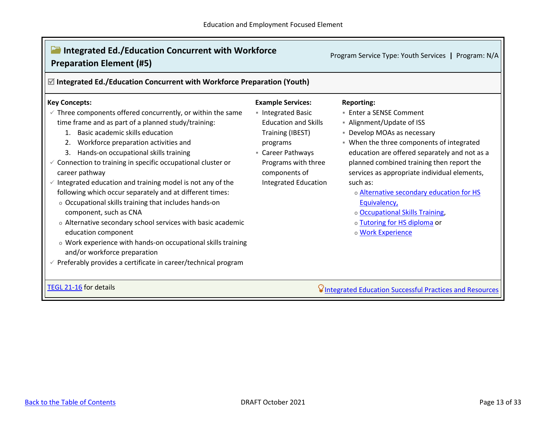<span id="page-12-0"></span>

| <b>Integrated Ed./Education Concurrent with Workforce</b><br><b>Preparation Element (#5)</b>                                                                                                                                                                                                                                                                                                                                                                                                                                                                                                                                                                                                                                                                                                                                                       |                                                                                                                                                                                                                | Program Service Type: Youth Services  <br>Program: N/A                                                                                                                                                                                                                                                                                                                                                                                                              |  |  |
|----------------------------------------------------------------------------------------------------------------------------------------------------------------------------------------------------------------------------------------------------------------------------------------------------------------------------------------------------------------------------------------------------------------------------------------------------------------------------------------------------------------------------------------------------------------------------------------------------------------------------------------------------------------------------------------------------------------------------------------------------------------------------------------------------------------------------------------------------|----------------------------------------------------------------------------------------------------------------------------------------------------------------------------------------------------------------|---------------------------------------------------------------------------------------------------------------------------------------------------------------------------------------------------------------------------------------------------------------------------------------------------------------------------------------------------------------------------------------------------------------------------------------------------------------------|--|--|
| $\boxtimes$ Integrated Ed./Education Concurrent with Workforce Preparation (Youth)                                                                                                                                                                                                                                                                                                                                                                                                                                                                                                                                                                                                                                                                                                                                                                 |                                                                                                                                                                                                                |                                                                                                                                                                                                                                                                                                                                                                                                                                                                     |  |  |
| <b>Key Concepts:</b><br>$\checkmark$ Three components offered concurrently, or within the same<br>time frame and as part of a planned study/training:<br>1. Basic academic skills education<br>2. Workforce preparation activities and<br>3. Hands-on occupational skills training<br>$\checkmark$ Connection to training in specific occupational cluster or<br>career pathway<br>Integrated education and training model is not any of the<br>following which occur separately and at different times:<br>o Occupational skills training that includes hands-on<br>component, such as CNA<br>o Alternative secondary school services with basic academic<br>education component<br>o Work experience with hands-on occupational skills training<br>and/or workforce preparation<br>Preferably provides a certificate in career/technical program | <b>Example Services:</b><br>Integrated Basic<br><b>Education and Skills</b><br>Training (IBEST)<br>programs<br><b>E</b> Career Pathways<br>Programs with three<br>components of<br><b>Integrated Education</b> | <b>Reporting:</b><br>■ Enter a SENSE Comment<br>- Alignment/Update of ISS<br>• Develop MOAs as necessary<br>. When the three components of integrated<br>education are offered separately and not as a<br>planned combined training then report the<br>services as appropriate individual elements,<br>such as:<br>o Alternative secondary education for HS<br>Equivalency,<br>o Occupational Skills Training,<br>o Tutoring for HS diploma or<br>o Work Experience |  |  |
| TEGL 21-16 for details                                                                                                                                                                                                                                                                                                                                                                                                                                                                                                                                                                                                                                                                                                                                                                                                                             |                                                                                                                                                                                                                | <b>VIntegrated Education Successful Practices and Resources</b>                                                                                                                                                                                                                                                                                                                                                                                                     |  |  |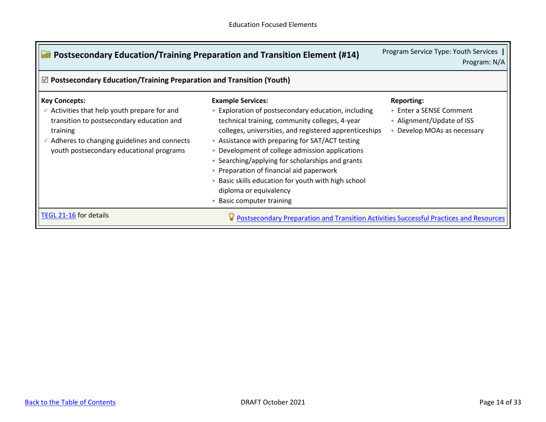<span id="page-13-0"></span>

| Postsecondary Education/Training Preparation and Transition Element (#14)                                                                                                                                                              | Program Service Type: Youth Services<br>Program: N/A                                                                                                                                                                                                                                                                                                                                                                                                                                                                      |                                                                                                          |  |  |
|----------------------------------------------------------------------------------------------------------------------------------------------------------------------------------------------------------------------------------------|---------------------------------------------------------------------------------------------------------------------------------------------------------------------------------------------------------------------------------------------------------------------------------------------------------------------------------------------------------------------------------------------------------------------------------------------------------------------------------------------------------------------------|----------------------------------------------------------------------------------------------------------|--|--|
| $\mathbb Z$ Postsecondary Education/Training Preparation and Transition (Youth)                                                                                                                                                        |                                                                                                                                                                                                                                                                                                                                                                                                                                                                                                                           |                                                                                                          |  |  |
| <b>Key Concepts:</b><br>Activities that help youth prepare for and<br>$\checkmark$<br>transition to postsecondary education and<br>training<br>Adheres to changing guidelines and connects<br>youth postsecondary educational programs | <b>Example Services:</b><br><b>Exploration of postsecondary education, including</b><br>technical training, community colleges, 4-year<br>colleges, universities, and registered apprenticeships<br>- Assistance with preparing for SAT/ACT testing<br>• Development of college admission applications<br>• Searching/applying for scholarships and grants<br>• Preparation of financial aid paperwork<br>- Basic skills education for youth with high school<br>diploma or equivalency<br><b>Basic computer training</b> | <b>Reporting:</b><br>■ Enter a SENSE Comment<br>• Alignment/Update of ISS<br>• Develop MOAs as necessary |  |  |
| TEGL 21-16 for details                                                                                                                                                                                                                 | Postsecondary Preparation and Transition Activities Successful Practices and Resources                                                                                                                                                                                                                                                                                                                                                                                                                                    |                                                                                                          |  |  |

T.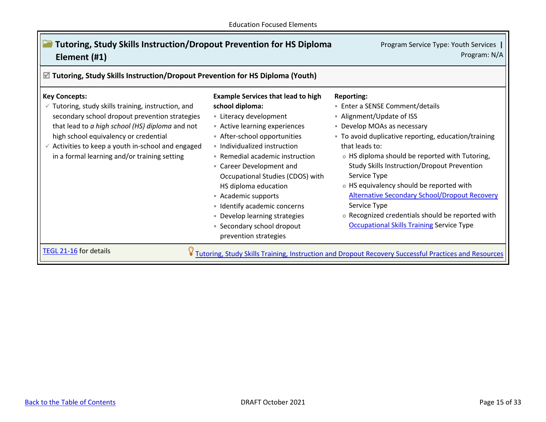<span id="page-14-0"></span>

| <b>Tutoring, Study Skills Instruction/Dropout Prevention for HS Diploma</b><br>Element (#1)                                                                                                                                                                                                                                              | Program Service Type: Youth Services<br>Program: N/A                                                                                                                                                                                                                                                                                                                                                                                                               |                                                                                                                                                                                                                                                                                                                                                                                                                                                                                                                                                |  |
|------------------------------------------------------------------------------------------------------------------------------------------------------------------------------------------------------------------------------------------------------------------------------------------------------------------------------------------|--------------------------------------------------------------------------------------------------------------------------------------------------------------------------------------------------------------------------------------------------------------------------------------------------------------------------------------------------------------------------------------------------------------------------------------------------------------------|------------------------------------------------------------------------------------------------------------------------------------------------------------------------------------------------------------------------------------------------------------------------------------------------------------------------------------------------------------------------------------------------------------------------------------------------------------------------------------------------------------------------------------------------|--|
| $\mathbb Z$ Tutoring, Study Skills Instruction/Dropout Prevention for HS Diploma (Youth)                                                                                                                                                                                                                                                 |                                                                                                                                                                                                                                                                                                                                                                                                                                                                    |                                                                                                                                                                                                                                                                                                                                                                                                                                                                                                                                                |  |
| <b>Key Concepts:</b><br>Tutoring, study skills training, instruction, and<br>secondary school dropout prevention strategies<br>that lead to a high school (HS) diploma and not<br>high school equivalency or credential<br>$\checkmark$ Activities to keep a youth in-school and engaged<br>in a formal learning and/or training setting | <b>Example Services that lead to high</b><br>school diploma:<br>- Literacy development<br>Active learning experiences<br>After-school opportunities<br>• Individualized instruction<br>• Remedial academic instruction<br>• Career Development and<br>Occupational Studies (CDOS) with<br>HS diploma education<br>- Academic supports<br>- Identify academic concerns<br>• Develop learning strategies<br><b>Secondary school dropout</b><br>prevention strategies | <b>Reporting:</b><br>■ Enter a SENSE Comment/details<br>- Alignment/Update of ISS<br>• Develop MOAs as necessary<br>. To avoid duplicative reporting, education/training<br>that leads to:<br>o HS diploma should be reported with Tutoring,<br><b>Study Skills Instruction/Dropout Prevention</b><br>Service Type<br>o HS equivalency should be reported with<br><b>Alternative Secondary School/Dropout Recovery</b><br>Service Type<br>o Recognized credentials should be reported with<br><b>Occupational Skills Training Service Type</b> |  |
| TEGL 21-16 for details                                                                                                                                                                                                                                                                                                                   |                                                                                                                                                                                                                                                                                                                                                                                                                                                                    | Tutoring, Study Skills Training, Instruction and Dropout Recovery Successful Practices and Resources                                                                                                                                                                                                                                                                                                                                                                                                                                           |  |

 $\mathsf T$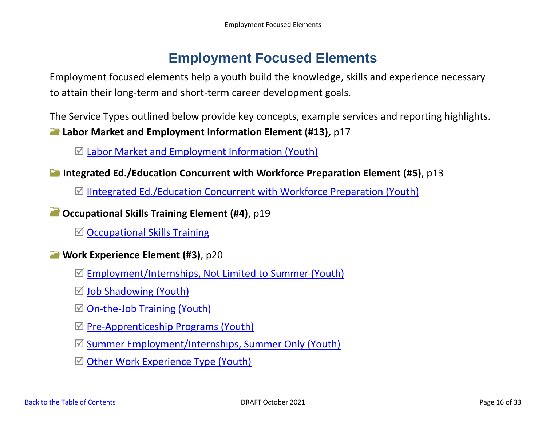# **Employment Focused Elements**

<span id="page-15-0"></span>Employment focused elements help a youth build the knowledge, skills and experience necessary to attain their long-term and short-term career development goals.

The Service Types outlined below provide key concepts, example services and reporting highlights. **Labor Market and Employment Information Element (#13),** p17

 $\mathbb Z$  [Labor Market and Employment Information \(Youth\)](#page-16-0)

**Integrated Ed./Education Concurrent with Workforce Preparation Element (#5)**, p13

 $\mathbb N$  [IIntegrated Ed./Education Concurrent with Workforce Preparation \(Youth\)](#page-17-0)

**Occupational Skills Training Element (#4)**, p19

 $\boxtimes$  [Occupational Skills Training](#page-18-0)

- **Work Experience Element (#3)**, p20
	- [Employment/Internships, Not Limited to Summer \(Youth\)](#page-19-1)
	- $\boxtimes$  [Job Shadowing \(Youth\)](#page-20-0)
	- $\boxtimes$  [On-the-Job Training \(Youth\)](#page-20-1)
	- $\boxtimes$  [Pre-Apprenticeship Programs \(Youth\)](#page-21-0)
	- $\boxtimes$  [Summer Employment/Internships, Summer Only \(Youth\)](#page-21-1)
	- $\boxtimes$  [Other Work Experience Type \(Youth\)](#page-22-0)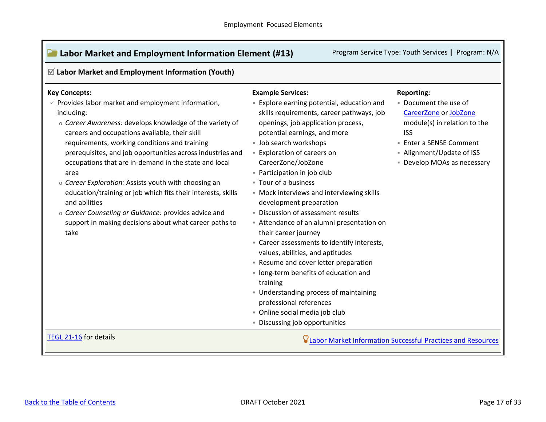<span id="page-16-0"></span>

| $\mathbb Z$ Labor Market and Employment Information (Youth)                                                                                                                                                                                                                                                                                                                                                                                                                                                                                                                                                                                                                                     |                                                                                                                                                                                                                                                                                                                                                                                                                                                                                                                                                                                                                                                                                                                                                                                                                                                    |                                                                                                                                                                                                               |  |
|-------------------------------------------------------------------------------------------------------------------------------------------------------------------------------------------------------------------------------------------------------------------------------------------------------------------------------------------------------------------------------------------------------------------------------------------------------------------------------------------------------------------------------------------------------------------------------------------------------------------------------------------------------------------------------------------------|----------------------------------------------------------------------------------------------------------------------------------------------------------------------------------------------------------------------------------------------------------------------------------------------------------------------------------------------------------------------------------------------------------------------------------------------------------------------------------------------------------------------------------------------------------------------------------------------------------------------------------------------------------------------------------------------------------------------------------------------------------------------------------------------------------------------------------------------------|---------------------------------------------------------------------------------------------------------------------------------------------------------------------------------------------------------------|--|
| <b>Key Concepts:</b><br>$\checkmark$ Provides labor market and employment information,<br>including:<br>o Career Awareness: develops knowledge of the variety of<br>careers and occupations available, their skill<br>requirements, working conditions and training<br>prerequisites, and job opportunities across industries and<br>occupations that are in-demand in the state and local<br>area<br>o Career Exploration: Assists youth with choosing an<br>education/training or job which fits their interests, skills<br>and abilities<br>o Career Counseling or Guidance: provides advice and<br>support in making decisions about what career paths to<br>take<br>TEGL 21-16 for details | <b>Example Services:</b><br><b>Explore earning potential, education and</b><br>skills requirements, career pathways, job<br>openings, job application process,<br>potential earnings, and more<br>· Job search workshops<br><b>Exploration of careers on</b><br>CareerZone/JobZone<br>- Participation in job club<br>" Tour of a business<br>• Mock interviews and interviewing skills<br>development preparation<br>· Discussion of assessment results<br>Attendance of an alumni presentation on<br>their career journey<br>• Career assessments to identify interests,<br>values, abilities, and aptitudes<br>- Resume and cover letter preparation<br>· long-term benefits of education and<br>training<br>Understanding process of maintaining<br>professional references<br>· Online social media job club<br>· Discussing job opportunities | <b>Reporting:</b><br>. Document the use of<br>CareerZone or JobZone<br>module(s) in relation to the<br><b>ISS</b><br><b>Enter a SENSE Comment</b><br>- Alignment/Update of ISS<br>• Develop MOAs as necessary |  |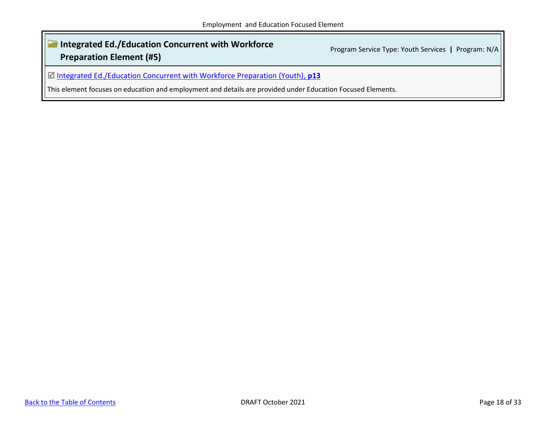### <span id="page-17-0"></span>**Integrated Ed./Education Concurrent with Workforce Preparation Element (#5)** Program Service Type: Youth Services **|** Program: N/A

[Integrated Ed./Education Concurrent with Workforce Preparation \(Youth\),](#page-12-0) **p13**

This element focuses on education and employment and details are provided under Education Focused Elements.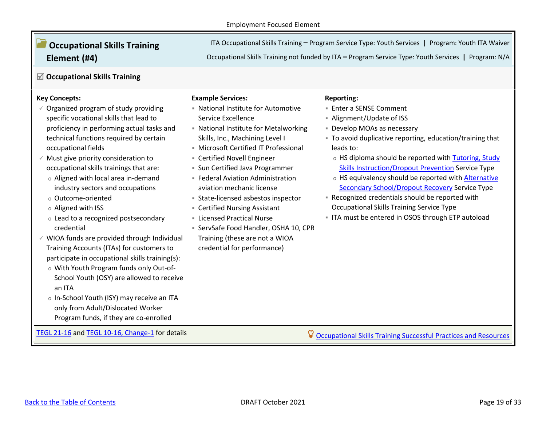# <span id="page-18-0"></span>**Occupational Skills Training Element (#4)**

ITA Occupational Skills Training **–** Program Service Type: Youth Services **|** Program: Youth ITA Waiver

Occupational Skills Training not funded by ITA **–** Program Service Type: Youth Services **|** Program: N/A

### **Occupational Skills Training**

### **Key Concepts:**

- $\checkmark$  Organized program of study providing specific vocational skills that lead to proficiency in performing actual tasks and technical functions required by certain occupational fields
- $\checkmark$  Must give priority consideration to occupational skills trainings that are:
	- o Aligned with local area in-demand industry sectors and occupations
	- o Outcome-oriented
	- o Aligned with ISS
	- o Lead to a recognized postsecondary credential
- $\checkmark$  WIOA funds are provided through Individual Training Accounts (ITAs) for customers to participate in occupational skills training(s):
	- o With Youth Program funds only Out-of-School Youth (OSY) are allowed to receive an ITA
	- o In-School Youth (ISY) may receive an ITA only from Adult/Dislocated Worker Program funds, if they are co-enrolled

#### **Example Services:**

- National Institute for Automotive Service Excellence
- National Institute for Metalworking Skills, Inc., Machining Level I
- **E** Microsoft Certified IT Professional
- **Executified Novell Engineer**
- **E.** Sun Certified Java Programmer
- **E** Federal Aviation Administration aviation mechanic license
- State-licensed asbestos inspector
- Certified Nursing Assistant
- **E** Licensed Practical Nurse
- ServSafe Food Handler, OSHA 10, CPR Training (these are not a WIOA credential for performance)

### **Reporting:**

- **Enter a SENSE Comment**
- Alignment/Update of ISS
- **E** Develop MOAs as necessary
- To avoid duplicative reporting, education/training that leads to:
	- o HS diploma should be reported with [Tutoring, Study](file://///dol-smb/dol_shared/DOL0A1FS1/Dews-Data/dews-public/Workforce/Program%20Development/Youth/OSOS/Services%20Mapping/2019-07-03%20411%20on%20WIOA%20Youth%20Services.docx%23_Tutoring,_Study_Skills_2)  [Skills Instruction/Dropout Prevention](file://///dol-smb/dol_shared/DOL0A1FS1/Dews-Data/dews-public/Workforce/Program%20Development/Youth/OSOS/Services%20Mapping/2019-07-03%20411%20on%20WIOA%20Youth%20Services.docx%23_Tutoring,_Study_Skills_2) Service Type
	- o HS equivalency should be reported with [Alternative](#page-30-1)  [Secondary School/Dropout Recovery](#page-30-1) Service Type
- Recognized credentials should be reported with Occupational Skills Training Service Type
- **.** ITA must be entered in OSOS through ETP autoload

[TEGL 21-16](https://wdr.doleta.gov/directives/corr_doc.cfm?DOCN=7159) and [TEGL 10-16, Change-1](https://wdr.doleta.gov/directives/corr_doc.cfm?DOCN=3255) for details **[Occupational Skills Training Successful Practices and Resources](https://youth.workforcegps.org/resources/2017/01/19/13/56/~/link.aspx?_id=3F1E4CB2E25B434BA98C936AFAD427F2&_z=z)**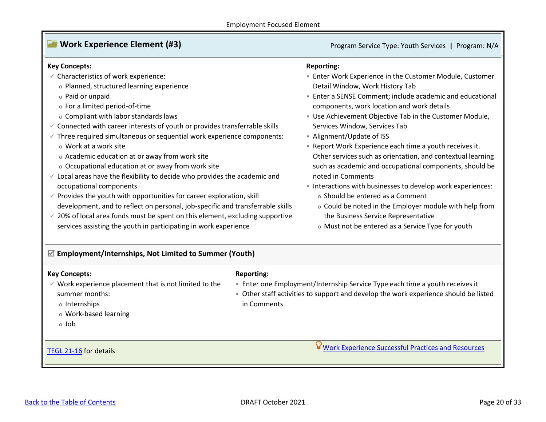### <span id="page-19-0"></span>**Work Experience Element (#3) Program Service Type: Youth Services | Program: N/A**

#### **Key Concepts:**

- $\checkmark$  Characteristics of work experience:
	- o Planned, structured learning experience
	- o Paid or unpaid
	- o For a limited period-of-time
	- o Compliant with labor standards laws
- $\checkmark$  Connected with career interests of youth or provides transferrable skills
- $\checkmark$  Three required simultaneous or sequential work experience components:
	- o Work at a work site
	- o Academic education at or away from work site
	- o Occupational education at or away from work site
- $\checkmark$  Local areas have the flexibility to decide who provides the academic and occupational components
- $\checkmark$  Provides the youth with opportunities for career exploration, skill development, and to reflect on personal, job-specific and transferrable skills
- $\checkmark$  20% of local area funds must be spent on this element, excluding supportive services assisting the youth in participating in work experience

#### **Reporting:**

- Enter Work Experience in the Customer Module, Customer Detail Window, Work History Tab
- **Enter a SENSE Comment: include academic and educational** components, work location and work details
- **Use Achievement Objective Tab in the Customer Module,** Services Window, Services Tab
- Alignment/Update of ISS
- Report Work Experience each time a youth receives it. Other services such as orientation, and contextual learning such as academic and occupational components, should be noted in Comments
- **.** Interactions with businesses to develop work experiences:
	- o Should be entered as a Comment

**Enter one Employment/Internship Service Type each time a youth receives it • Other staff activities to support and develop the work experience should be listed** 

- o Could be noted in the Employer module with help from the Business Service Representative
- o Must not be entered as a Service Type for youth

<span id="page-19-1"></span>**Employment/Internships, Not Limited to Summer (Youth)**

### **Key Concepts:**

### **Reporting:**

in Comments

- $\checkmark$  Work experience placement that is not limited to the summer months:
	- o Internships
	- o Work-based learning
	- o Job

[TEGL 21-16](https://wdr.doleta.gov/directives/corr_doc.cfm?DOCN=7159) for details **WALL ARE AND THE SUCCESS OF A SET OF A SUCCESS** OF A SUCCESS OF A SUCCESS OF A SUCCESS OF A SUCCESS OF A SUCCESS OF A SUCCESS OF A SUCCESS OF A SUCCESS OF A SUCCESS OF A SUCCESS OF A SUCCESS OF A SU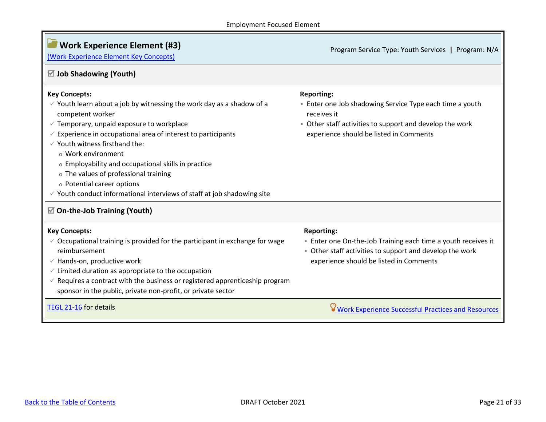<span id="page-20-1"></span><span id="page-20-0"></span>

| <b>Work Experience Element (#3)</b><br>(Work Experience Element Key Concepts)                                                                                                                                                                                                                                                                                                              | Program Service Type: Youth Services   Program: N/A                                                                                                                                                 |
|--------------------------------------------------------------------------------------------------------------------------------------------------------------------------------------------------------------------------------------------------------------------------------------------------------------------------------------------------------------------------------------------|-----------------------------------------------------------------------------------------------------------------------------------------------------------------------------------------------------|
| $\boxtimes$ Job Shadowing (Youth)                                                                                                                                                                                                                                                                                                                                                          |                                                                                                                                                                                                     |
| <b>Key Concepts:</b><br>$\checkmark$ Youth learn about a job by witnessing the work day as a shadow of a<br>competent worker<br>$\checkmark$ Temporary, unpaid exposure to workplace<br>Experience in occupational area of interest to participants<br>$\checkmark$ Youth witness firsthand the:<br>o Work environment                                                                     | <b>Reporting:</b><br>- Enter one Job shadowing Service Type each time a youth<br>receives it<br>• Other staff activities to support and develop the work<br>experience should be listed in Comments |
| o Employability and occupational skills in practice<br>o The values of professional training<br>o Potential career options<br>$\checkmark$ Youth conduct informational interviews of staff at job shadowing site<br>$\mathbb Z$ On-the-Job Training (Youth)                                                                                                                                |                                                                                                                                                                                                     |
| <b>Key Concepts:</b><br>$\checkmark$ Occupational training is provided for the participant in exchange for wage<br>reimbursement<br>$\checkmark$ Hands-on, productive work<br>$\checkmark$ Limited duration as appropriate to the occupation<br>Requires a contract with the business or registered apprenticeship program<br>sponsor in the public, private non-profit, or private sector | <b>Reporting:</b><br>. Enter one On-the-Job Training each time a youth receives it<br>• Other staff activities to support and develop the work<br>experience should be listed in Comments           |
| TEGL 21-16 for details                                                                                                                                                                                                                                                                                                                                                                     | <b>Work Experience Successful Practices and Resources</b>                                                                                                                                           |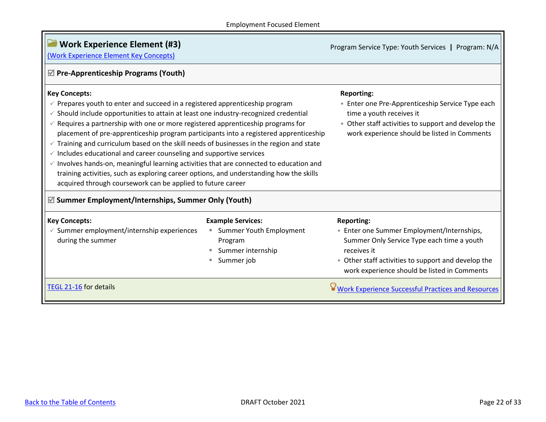<span id="page-21-1"></span><span id="page-21-0"></span>

| <b>Work Experience Element (#3)</b><br>(Work Experience Element Key Concepts)                                                                                                                                                                                                                                                                                                                                                                                                                                                                                                                                                                                                                                                                                                                                                                                        |                                                                                                   | Program Service Type: Youth Services   Program: N/A                                                                                                                                                                                      |
|----------------------------------------------------------------------------------------------------------------------------------------------------------------------------------------------------------------------------------------------------------------------------------------------------------------------------------------------------------------------------------------------------------------------------------------------------------------------------------------------------------------------------------------------------------------------------------------------------------------------------------------------------------------------------------------------------------------------------------------------------------------------------------------------------------------------------------------------------------------------|---------------------------------------------------------------------------------------------------|------------------------------------------------------------------------------------------------------------------------------------------------------------------------------------------------------------------------------------------|
| $\mathbb Z$ Pre-Apprenticeship Programs (Youth)                                                                                                                                                                                                                                                                                                                                                                                                                                                                                                                                                                                                                                                                                                                                                                                                                      |                                                                                                   |                                                                                                                                                                                                                                          |
| <b>Key Concepts:</b><br>$\checkmark$ Prepares youth to enter and succeed in a registered apprenticeship program<br>$\checkmark$ Should include opportunities to attain at least one industry-recognized credential<br>$\checkmark$ Requires a partnership with one or more registered apprenticeship programs for<br>placement of pre-apprenticeship program participants into a registered apprenticeship<br>$\checkmark$ Training and curriculum based on the skill needs of businesses in the region and state<br>$\checkmark$ Includes educational and career counseling and supportive services<br>$\checkmark$ Involves hands-on, meaningful learning activities that are connected to education and<br>training activities, such as exploring career options, and understanding how the skills<br>acquired through coursework can be applied to future career |                                                                                                   | <b>Reporting:</b><br><b>Enter one Pre-Apprenticeship Service Type each</b><br>time a youth receives it<br>• Other staff activities to support and develop the<br>work experience should be listed in Comments                            |
| $\mathbb Z$ Summer Employment/Internships, Summer Only (Youth)                                                                                                                                                                                                                                                                                                                                                                                                                                                                                                                                                                                                                                                                                                                                                                                                       |                                                                                                   |                                                                                                                                                                                                                                          |
| <b>Key Concepts:</b><br>$\checkmark$ Summer employment/internship experiences<br>during the summer                                                                                                                                                                                                                                                                                                                                                                                                                                                                                                                                                                                                                                                                                                                                                                   | <b>Example Services:</b><br>Summer Youth Employment<br>Program<br>Summer internship<br>Summer job | <b>Reporting:</b><br><b>Enter one Summer Employment/Internships,</b><br>Summer Only Service Type each time a youth<br>receives it<br>• Other staff activities to support and develop the<br>work experience should be listed in Comments |
| TEGL 21-16 for details                                                                                                                                                                                                                                                                                                                                                                                                                                                                                                                                                                                                                                                                                                                                                                                                                                               |                                                                                                   | <b>Work Experience Successful Practices and Resources</b>                                                                                                                                                                                |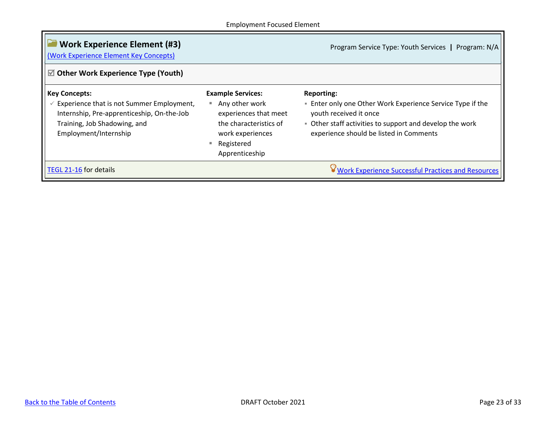<span id="page-22-0"></span>

| <b>Work Experience Element (#3)</b><br>(Work Experience Element Key Concepts)                                                                                            |                                                                                                                                                              | Program Service Type: Youth Services   Program: N/A                                                                                                                                                                   |
|--------------------------------------------------------------------------------------------------------------------------------------------------------------------------|--------------------------------------------------------------------------------------------------------------------------------------------------------------|-----------------------------------------------------------------------------------------------------------------------------------------------------------------------------------------------------------------------|
| $\boxtimes$ Other Work Experience Type (Youth)                                                                                                                           |                                                                                                                                                              |                                                                                                                                                                                                                       |
| <b>Key Concepts:</b><br>Experience that is not Summer Employment,<br>Internship, Pre-apprenticeship, On-the-Job<br>Training, Job Shadowing, and<br>Employment/Internship | <b>Example Services:</b><br>Any other work<br>ш<br>experiences that meet<br>the characteristics of<br>work experiences<br>Registered<br>m.<br>Apprenticeship | <b>Reporting:</b><br><b>Enter only one Other Work Experience Service Type if the</b><br>youth received it once<br>• Other staff activities to support and develop the work<br>experience should be listed in Comments |
| TEGL 21-16 for details                                                                                                                                                   |                                                                                                                                                              | ✔ Work Experience Successful Practices and Resources                                                                                                                                                                  |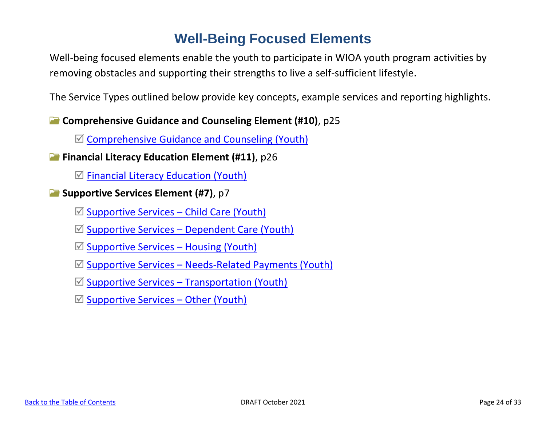# **Well-Being Focused Elements**

<span id="page-23-0"></span>Well-being focused elements enable the youth to participate in WIOA youth program activities by removing obstacles and supporting their strengths to live a self-sufficient lifestyle.

The Service Types outlined below provide key concepts, example services and reporting highlights.

**Comprehensive Guidance and Counseling Element (#10)**, p25

 $\mathbb Z$  [Comprehensive Guidance and Counseling \(Youth\)](#page-24-0)

**Financial Literacy Education Element (#11)**, p26

 $\boxtimes$  [Financial Literacy Education \(Youth\)](#page-25-0)

**Supportive Services Element (#7)**, p7

 $\boxtimes$  [Supportive Services](#page-26-1) – Child Care (Youth)

 $\boxtimes$  Supportive Services – [Dependent Care \(Youth\)](#page-26-2)

 $\boxtimes$  [Supportive Services](#page-26-3) – Housing (Youth)

 $\boxtimes$  Supportive Services – [Needs-Related Payments \(Youth\)](#page-26-4)

 $\mathbb Z$  Supportive Services – [Transportation \(Youth\)](#page-26-5)

 $\boxtimes$  [Supportive Services](#page-26-6) – Other (Youth)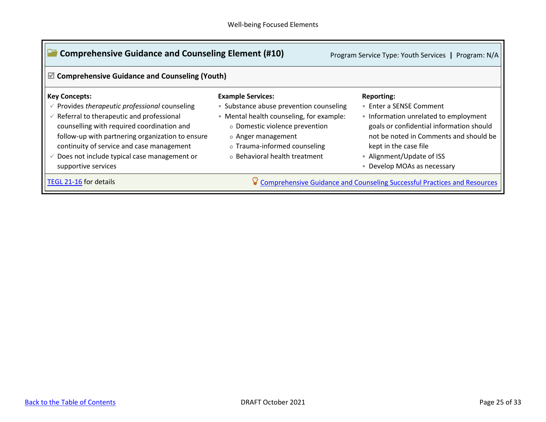<span id="page-24-0"></span>

| <b>Comprehensive Guidance and Counseling Element (#10)</b><br>☑ Comprehensive Guidance and Counseling (Youth)                                                                                                                                                                                                                                                   |                                                                                                                                                                                                                                          | Program Service Type: Youth Services   Program: N/A                                                                                                                                                                                                            |
|-----------------------------------------------------------------------------------------------------------------------------------------------------------------------------------------------------------------------------------------------------------------------------------------------------------------------------------------------------------------|------------------------------------------------------------------------------------------------------------------------------------------------------------------------------------------------------------------------------------------|----------------------------------------------------------------------------------------------------------------------------------------------------------------------------------------------------------------------------------------------------------------|
| <b>Key Concepts:</b><br>$\checkmark$ Provides therapeutic professional counseling<br>$\checkmark$ Referral to therapeutic and professional<br>counselling with required coordination and<br>follow-up with partnering organization to ensure<br>continuity of service and case management<br>Does not include typical case management or<br>supportive services | <b>Example Services:</b><br>• Substance abuse prevention counseling<br>• Mental health counseling, for example:<br>o Domestic violence prevention<br>o Anger management<br>o Trauma-informed counseling<br>o Behavioral health treatment | <b>Reporting:</b><br>■ Enter a SENSE Comment<br>Information unrelated to employment<br>goals or confidential information should<br>not be noted in Comments and should be<br>kept in the case file<br>- Alignment/Update of ISS<br>• Develop MOAs as necessary |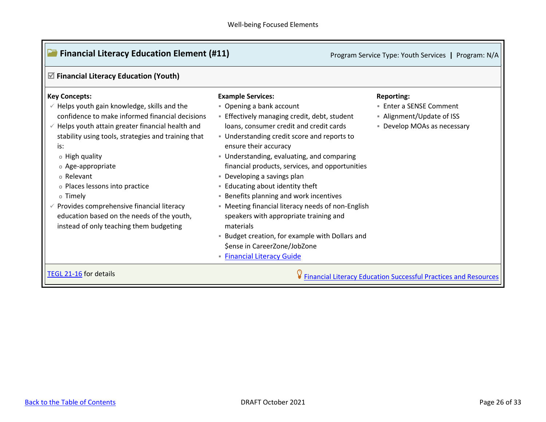<span id="page-25-0"></span>

| $\triangledown$ Financial Literacy Education (Youth)                                                                                                                                                                                                                                                                                                                                                                                                                                                      |                                                                                                                                                                                                                                                                                                                                                                                                                                                                                                                                                                                                                                                                                         |                                                                                                          |
|-----------------------------------------------------------------------------------------------------------------------------------------------------------------------------------------------------------------------------------------------------------------------------------------------------------------------------------------------------------------------------------------------------------------------------------------------------------------------------------------------------------|-----------------------------------------------------------------------------------------------------------------------------------------------------------------------------------------------------------------------------------------------------------------------------------------------------------------------------------------------------------------------------------------------------------------------------------------------------------------------------------------------------------------------------------------------------------------------------------------------------------------------------------------------------------------------------------------|----------------------------------------------------------------------------------------------------------|
| <b>Key Concepts:</b><br>$\checkmark$ Helps youth gain knowledge, skills and the<br>confidence to make informed financial decisions<br>$\checkmark$ Helps youth attain greater financial health and<br>stability using tools, strategies and training that<br>is:<br>o High quality<br>o Age-appropriate<br>o Relevant<br>o Places lessons into practice<br>o Timely<br>Provides comprehensive financial literacy<br>education based on the needs of the youth,<br>instead of only teaching them budgeting | <b>Example Services:</b><br>• Opening a bank account<br><b>Effectively managing credit, debt, student</b><br>loans, consumer credit and credit cards<br>• Understanding credit score and reports to<br>ensure their accuracy<br>• Understanding, evaluating, and comparing<br>financial products, services, and opportunities<br>• Developing a savings plan<br>- Educating about identity theft<br><b>Benefits planning and work incentives</b><br>• Meeting financial literacy needs of non-English<br>speakers with appropriate training and<br>materials<br><b>Budget creation, for example with Dollars and</b><br>\$ense in CareerZone/JobZone<br><b>Financial Literacy Guide</b> | <b>Reporting:</b><br>■ Enter a SENSE Comment<br>- Alignment/Update of ISS<br>• Develop MOAs as necessary |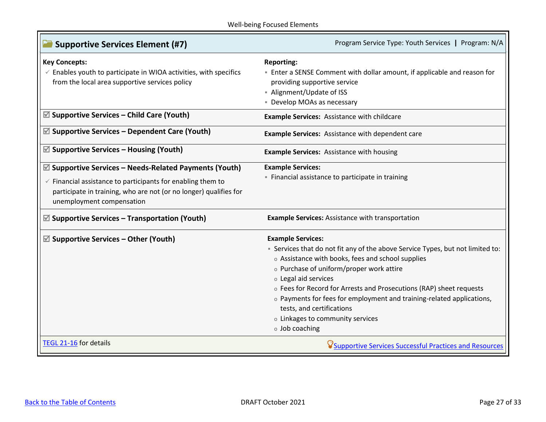<span id="page-26-6"></span><span id="page-26-5"></span><span id="page-26-4"></span><span id="page-26-3"></span><span id="page-26-2"></span><span id="page-26-1"></span><span id="page-26-0"></span>

| <b>Supportive Services Element (#7)</b>                                                                                                                                                                                                      | Program Service Type: Youth Services   Program: N/A                                                                                                                                                                                                                                                                                                                                                                                                                    |
|----------------------------------------------------------------------------------------------------------------------------------------------------------------------------------------------------------------------------------------------|------------------------------------------------------------------------------------------------------------------------------------------------------------------------------------------------------------------------------------------------------------------------------------------------------------------------------------------------------------------------------------------------------------------------------------------------------------------------|
| <b>Key Concepts:</b><br>$\checkmark$ Enables youth to participate in WIOA activities, with specifics<br>from the local area supportive services policy                                                                                       | <b>Reporting:</b><br>- Enter a SENSE Comment with dollar amount, if applicable and reason for<br>providing supportive service<br>- Alignment/Update of ISS<br>· Develop MOAs as necessary                                                                                                                                                                                                                                                                              |
| $\mathbb Z$ Supportive Services – Child Care (Youth)                                                                                                                                                                                         | <b>Example Services: Assistance with childcare</b>                                                                                                                                                                                                                                                                                                                                                                                                                     |
| $\mathbb Z$ Supportive Services – Dependent Care (Youth)                                                                                                                                                                                     | Example Services: Assistance with dependent care                                                                                                                                                                                                                                                                                                                                                                                                                       |
| $\mathbb Z$ Supportive Services – Housing (Youth)                                                                                                                                                                                            | <b>Example Services: Assistance with housing</b>                                                                                                                                                                                                                                                                                                                                                                                                                       |
| $\mathbb Z$ Supportive Services – Needs-Related Payments (Youth)<br>$\checkmark$ Financial assistance to participants for enabling them to<br>participate in training, who are not (or no longer) qualifies for<br>unemployment compensation | <b>Example Services:</b><br>- Financial assistance to participate in training                                                                                                                                                                                                                                                                                                                                                                                          |
| $\mathbb Z$ Supportive Services – Transportation (Youth)                                                                                                                                                                                     | <b>Example Services: Assistance with transportation</b>                                                                                                                                                                                                                                                                                                                                                                                                                |
| $\mathbb Z$ Supportive Services – Other (Youth)                                                                                                                                                                                              | <b>Example Services:</b><br>• Services that do not fit any of the above Service Types, but not limited to:<br>o Assistance with books, fees and school supplies<br>o Purchase of uniform/proper work attire<br>o Legal aid services<br>o Fees for Record for Arrests and Prosecutions (RAP) sheet requests<br>o Payments for fees for employment and training-related applications,<br>tests, and certifications<br>o Linkages to community services<br>o Job coaching |
| TEGL 21-16 for details                                                                                                                                                                                                                       | <b>V</b> Supportive Services Successful Practices and Resources                                                                                                                                                                                                                                                                                                                                                                                                        |

T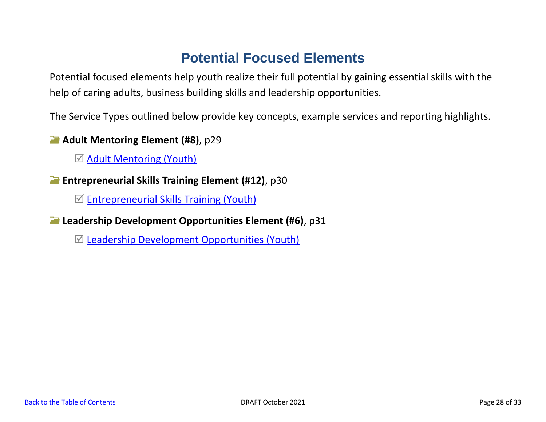# **Potential Focused Elements**

<span id="page-27-0"></span>Potential focused elements help youth realize their full potential by gaining essential skills with the help of caring adults, business building skills and leadership opportunities.

The Service Types outlined below provide key concepts, example services and reporting highlights.

**Adult Mentoring Element (#8)**, p29

 $\boxtimes$  [Adult Mentoring \(Youth\)](#page-28-0)

**Entrepreneurial Skills Training Element (#12)**, p30

 $\mathbb Z$  [Entrepreneurial Skills Training \(Youth\)](#page-29-0)

**Leadership Development Opportunities Element (#6)**, p31

 $\mathbb Z$  [Leadership Development Opportunities \(Youth\)](#page-30-0)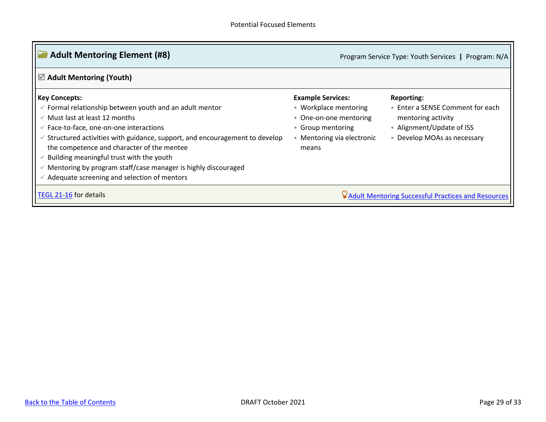<span id="page-28-0"></span>

| <b>Adult Mentoring Element (#8)</b>                                                                                                                                                                                                                                                                                                                                                                                                                                                                         |                                                                                                                                       | Program Service Type: Youth Services   Program: N/A                                                                                   |
|-------------------------------------------------------------------------------------------------------------------------------------------------------------------------------------------------------------------------------------------------------------------------------------------------------------------------------------------------------------------------------------------------------------------------------------------------------------------------------------------------------------|---------------------------------------------------------------------------------------------------------------------------------------|---------------------------------------------------------------------------------------------------------------------------------------|
| $\boxtimes$ Adult Mentoring (Youth)                                                                                                                                                                                                                                                                                                                                                                                                                                                                         |                                                                                                                                       |                                                                                                                                       |
| <b>Key Concepts:</b><br>Formal relationship between youth and an adult mentor<br>$\checkmark$<br>$\checkmark$ Must last at least 12 months<br>Face-to-face, one-on-one interactions<br>$\checkmark$<br>Structured activities with guidance, support, and encouragement to develop<br>the competence and character of the mentee<br>Building meaningful trust with the youth<br>Mentoring by program staff/case manager is highly discouraged<br>$\checkmark$<br>Adequate screening and selection of mentors | <b>Example Services:</b><br>■ Workplace mentoring<br>• One-on-one mentoring<br>Group mentoring<br>- Mentoring via electronic<br>means | <b>Reporting:</b><br>Enter a SENSE Comment for each<br>mentoring activity<br>- Alignment/Update of ISS<br>• Develop MOAs as necessary |
| TEGL 21-16 for details                                                                                                                                                                                                                                                                                                                                                                                                                                                                                      |                                                                                                                                       | V Adult Mentoring Successful Practices and Resources                                                                                  |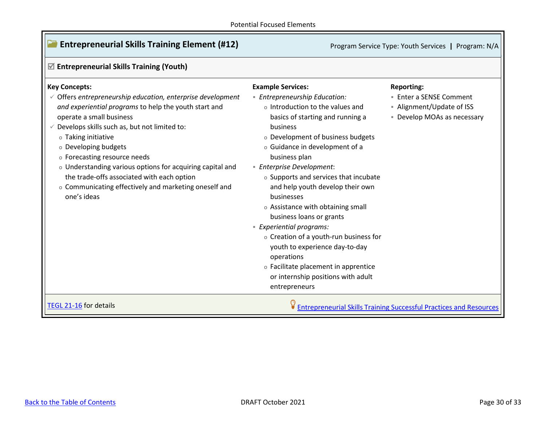<span id="page-29-0"></span>

| <b>Entrepreneurial Skills Training Element (#12)</b>                                                                                                                                                                                                                                                                                                                                                                                                                          |                                                                                                                                                                                                                                                                                                                                                                                                                                                                                                                                                                                                                                        | Program Service Type: Youth Services   Program: N/A                                      |
|-------------------------------------------------------------------------------------------------------------------------------------------------------------------------------------------------------------------------------------------------------------------------------------------------------------------------------------------------------------------------------------------------------------------------------------------------------------------------------|----------------------------------------------------------------------------------------------------------------------------------------------------------------------------------------------------------------------------------------------------------------------------------------------------------------------------------------------------------------------------------------------------------------------------------------------------------------------------------------------------------------------------------------------------------------------------------------------------------------------------------------|------------------------------------------------------------------------------------------|
| $\mathbb Z$ Entrepreneurial Skills Training (Youth)                                                                                                                                                                                                                                                                                                                                                                                                                           |                                                                                                                                                                                                                                                                                                                                                                                                                                                                                                                                                                                                                                        |                                                                                          |
| <b>Key Concepts:</b>                                                                                                                                                                                                                                                                                                                                                                                                                                                          | <b>Example Services:</b>                                                                                                                                                                                                                                                                                                                                                                                                                                                                                                                                                                                                               | <b>Reporting:</b>                                                                        |
| $\checkmark$ Offers entrepreneurship education, enterprise development<br>and experiential programs to help the youth start and<br>operate a small business<br>Develops skills such as, but not limited to:<br>o Taking initiative<br>o Developing budgets<br>o Forecasting resource needs<br>o Understanding various options for acquiring capital and<br>the trade-offs associated with each option<br>o Communicating effectively and marketing oneself and<br>one's ideas | <b>Entrepreneurship Education:</b><br>o Introduction to the values and<br>basics of starting and running a<br>business<br>o Development of business budgets<br>o Guidance in development of a<br>business plan<br><b>Enterprise Development:</b><br>o Supports and services that incubate<br>and help youth develop their own<br>businesses<br>o Assistance with obtaining small<br>business loans or grants<br><b>Experiential programs:</b><br>o Creation of a youth-run business for<br>youth to experience day-to-day<br>operations<br>o Facilitate placement in apprentice<br>or internship positions with adult<br>entrepreneurs | <b>Enter a SENSE Comment</b><br>- Alignment/Update of ISS<br>• Develop MOAs as necessary |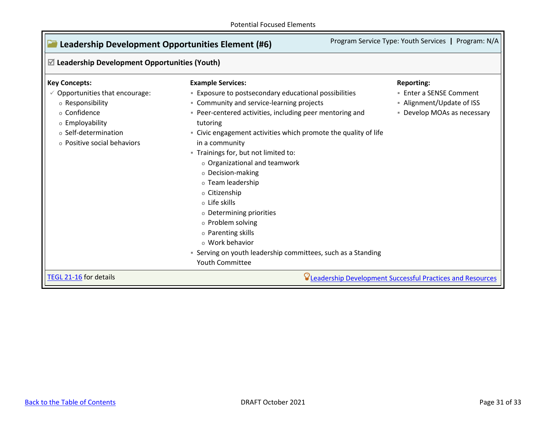<span id="page-30-1"></span><span id="page-30-0"></span>

| $\mathbb Z$ Leadership Development Opportunities (Youth) |                                                                 |                             |
|----------------------------------------------------------|-----------------------------------------------------------------|-----------------------------|
| <b>Key Concepts:</b>                                     | <b>Example Services:</b>                                        | <b>Reporting:</b>           |
| $\checkmark$ Opportunities that encourage:               | <b>Exposure to postsecondary educational possibilities</b>      | ■ Enter a SENSE Comment     |
| o Responsibility                                         | • Community and service-learning projects                       | • Alignment/Update of ISS   |
| o Confidence                                             | · Peer-centered activities, including peer mentoring and        | • Develop MOAs as necessary |
| o Employability                                          | tutoring                                                        |                             |
| o Self-determination                                     | - Civic engagement activities which promote the quality of life |                             |
| o Positive social behaviors                              | in a community                                                  |                             |
|                                                          | - Trainings for, but not limited to:                            |                             |
|                                                          | o Organizational and teamwork                                   |                             |
|                                                          | o Decision-making                                               |                             |
|                                                          | o Team leadership                                               |                             |
|                                                          | o Citizenship                                                   |                             |
|                                                          | o Life skills                                                   |                             |
|                                                          | o Determining priorities                                        |                             |
|                                                          | o Problem solving                                               |                             |
|                                                          | o Parenting skills                                              |                             |
|                                                          | o Work behavior                                                 |                             |
|                                                          | • Serving on youth leadership committees, such as a Standing    |                             |
|                                                          | Youth Committee                                                 |                             |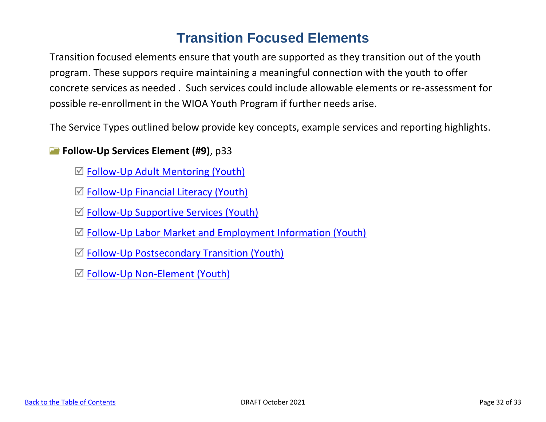# **Transition Focused Elements**

Transition focused elements ensure that youth are supported as they transition out of the youth program. These suppors require maintaining a meaningful connection with the youth to offer concrete services as needed . Such services could include allowable elements or re-assessment for possible re-enrollment in the WIOA Youth Program if further needs arise.

The Service Types outlined below provide key concepts, example services and reporting highlights.

## **Follow-Up Services Element (#9)**, p33

- $\mathbb Z$  Follow-Up Adult Mentoring (Youth)
- $\mathbb Z$  Follow-Up Financial Literacy (Youth)
- $\mathbb Z$  Follow-Up Supportive Services (Youth)
- $\mathbb Z$  Follow-Up Labor Market and Employment Information (Youth)
- $\mathbb Z$  Follow-Up Postsecondary Transition (Youth)
- Follow-Up Non-Element (Youth)